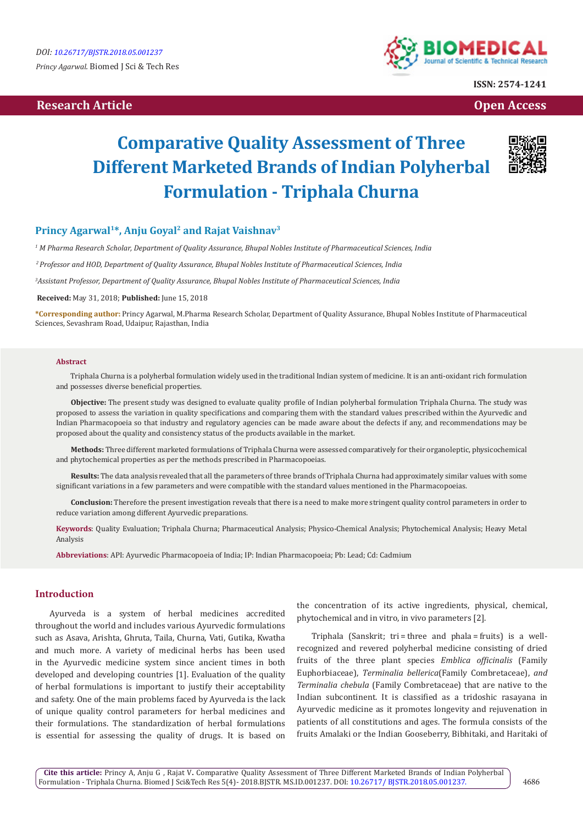# **Research Article Open Access Contract Article Open Access Open Access Open Access**



**ISSN: 2574-1241**

# **Comparative Quality Assessment of Three Different Marketed Brands of Indian Polyherbal Formulation - Triphala Churna**



# Princy Agarwal<sup>1\*</sup>, Anju Goyal<sup>2</sup> and Rajat Vaishnav<sup>3</sup>

*1 M Pharma Research Scholar, Department of Quality Assurance, Bhupal Nobles Institute of Pharmaceutical Sciences, India*

 *2 Professor and HOD, Department of Quality Assurance, Bhupal Nobles Institute of Pharmaceutical Sciences, India*

*3 Assistant Professor, Department of Quality Assurance, Bhupal Nobles Institute of Pharmaceutical Sciences, India*

**Received:** May 31, 2018; **Published:** June 15, 2018

**\*Corresponding author:** Princy Agarwal, M.Pharma Research Scholar, Department of Quality Assurance, Bhupal Nobles Institute of Pharmaceutical Sciences, Sevashram Road, Udaipur, Rajasthan, India

#### **Abstract**

Triphala Churna is a polyherbal formulation widely used in the traditional Indian system of medicine. It is an anti-oxidant rich formulation and possesses diverse beneficial properties.

**Objective:** The present study was designed to evaluate quality profile of Indian polyherbal formulation Triphala Churna. The study was proposed to assess the variation in quality specifications and comparing them with the standard values prescribed within the Ayurvedic and Indian Pharmacopoeia so that industry and regulatory agencies can be made aware about the defects if any, and recommendations may be proposed about the quality and consistency status of the products available in the market.

**Methods:** Three different marketed formulations of Triphala Churna were assessed comparatively for their organoleptic, physicochemical and phytochemical properties as per the methods prescribed in Pharmacopoeias.

**Results:** The data analysis revealed that all the parameters of three brands of Triphala Churna had approximately similar values with some significant variations in a few parameters and were compatible with the standard values mentioned in the Pharmacopoeias.

**Conclusion:** Therefore the present investigation reveals that there is a need to make more stringent quality control parameters in order to reduce variation among different Ayurvedic preparations.

**Keywords**: Quality Evaluation; Triphala Churna; Pharmaceutical Analysis; Physico-Chemical Analysis; Phytochemical Analysis; Heavy Metal Analysis

**Abbreviations**: API: Ayurvedic Pharmacopoeia of India; IP: Indian Pharmacopoeia; Pb: Lead; Cd: Cadmium

# **Introduction**

Ayurveda is a system of herbal medicines accredited throughout the world and includes various Ayurvedic formulations such as Asava, Arishta, Ghruta, Taila, Churna, Vati, Gutika, Kwatha and much more. A variety of medicinal herbs has been used in the Ayurvedic medicine system since ancient times in both developed and developing countries [1]. Evaluation of the quality of herbal formulations is important to justify their acceptability and safety. One of the main problems faced by Ayurveda is the lack of unique quality control parameters for herbal medicines and their formulations. The standardization of herbal formulations is essential for assessing the quality of drugs. It is based on the concentration of its active ingredients, physical, chemical, phytochemical and in vitro, in vivo parameters [2].

Triphala (Sanskrit; tri = three and phala = fruits) is a wellrecognized and revered polyherbal medicine consisting of dried fruits of the three plant species *Emblica officinalis* (Family Euphorbiaceae), *Terminalia bellerica*(Family Combretaceae), *and Terminalia chebula* (Family Combretaceae) that are native to the Indian subcontinent. It is classified as a tridoshic rasayana in Ayurvedic medicine as it promotes longevity and rejuvenation in patients of all constitutions and ages. The formula consists of the fruits Amalaki or the Indian Gooseberry, Bibhitaki, and Haritaki of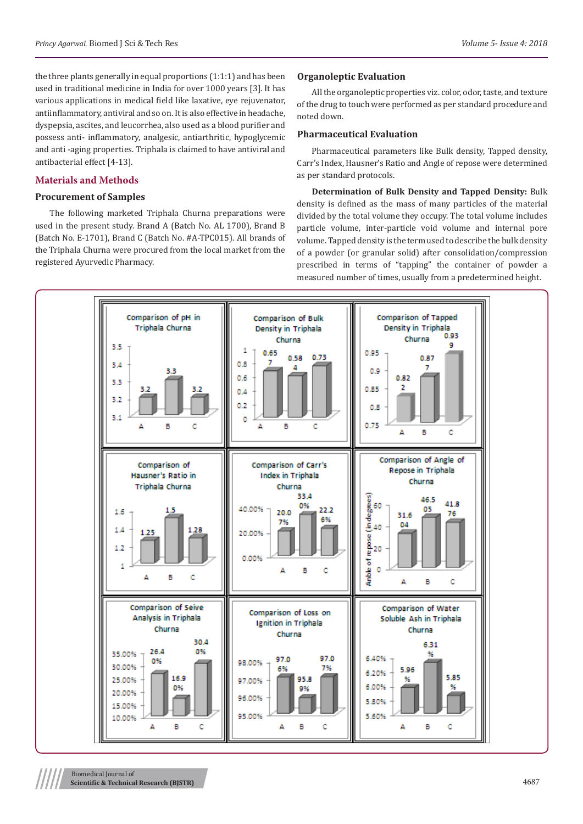the three plants generally in equal proportions (1:1:1) and has been used in traditional medicine in India for over 1000 years [3]. It has various applications in medical field like laxative, eye rejuvenator, antiinflammatory, antiviral and so on. It is also effective in headache, dyspepsia, ascites, and leucorrhea, also used as a blood purifier and possess anti- inflammatory, analgesic, antiarthritic, hypoglycemic and anti -aging properties. Triphala is claimed to have antiviral and antibacterial effect [4-13].

# **Materials and Methods**

# **Procurement of Samples**

The following marketed Triphala Churna preparations were used in the present study. Brand A (Batch No. AL 1700), Brand B (Batch No. E-1701), Brand C (Batch No. #A-TPC015). All brands of the Triphala Churna were procured from the local market from the registered Ayurvedic Pharmacy.

# **Organoleptic Evaluation**

All the organoleptic properties viz. color, odor, taste, and texture of the drug to touch were performed as per standard procedure and noted down.

# **Pharmaceutical Evaluation**

Pharmaceutical parameters like Bulk density, Tapped density, Carr's Index, Hausner's Ratio and Angle of repose were determined as per standard protocols.

**Determination of Bulk Density and Tapped Density:** Bulk density is defined as the mass of many particles of the material divided by the total volume they occupy. The total volume includes particle volume, inter-particle void volume and internal pore volume. Tapped density is the term used to describe the bulk density of a powder (or granular solid) after consolidation/compression prescribed in terms of "tapping" the container of powder a measured number of times, usually from a predetermined height.

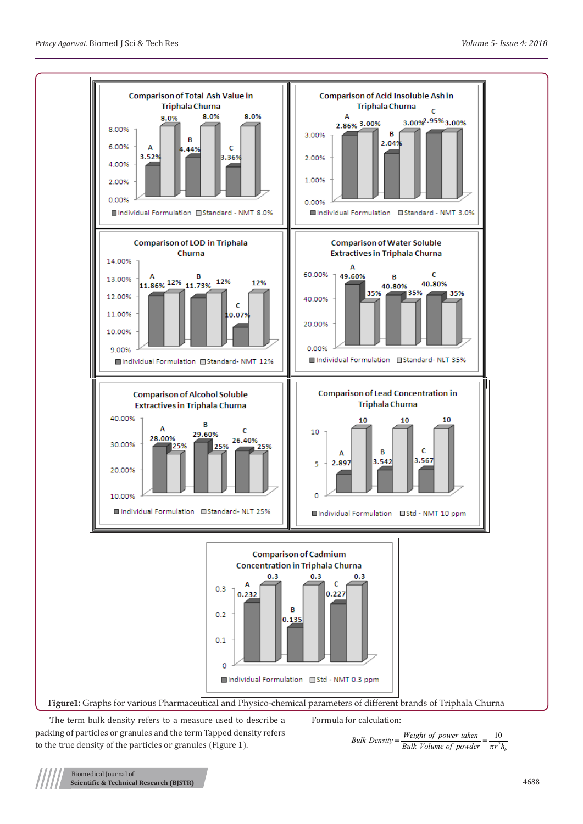

The term bulk density refers to a measure used to describe a packing of particles or granules and the term Tapped density refers to the true density of the particles or granules (Figure 1).

Formula for calculation:

of power taken<br>alumn of novelow  $=\frac{10}{\pi r^2}$ *bulk Density* =  $\frac{Weight\ of\ power\ taken}{Bulk\ Volume\ of\ powder} = \frac{10}{\pi r^2 h_l}$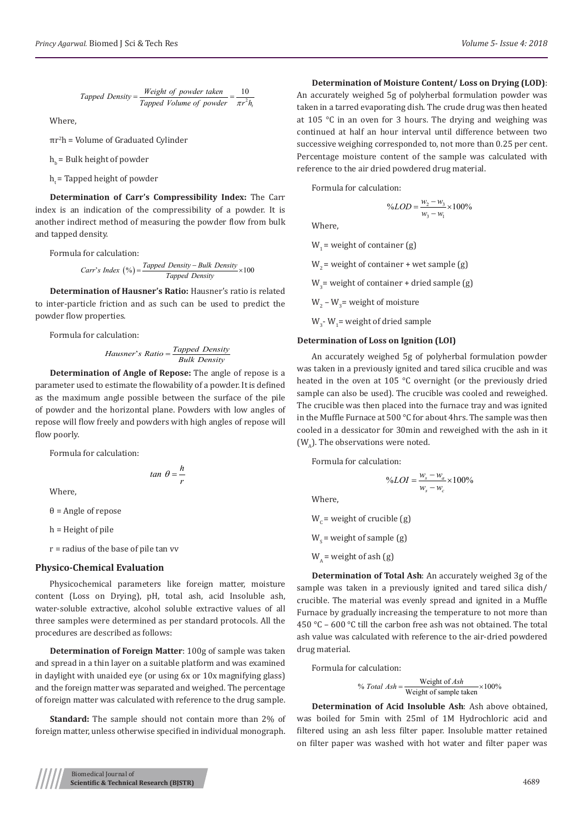Tapped Density = 
$$
\frac{Weight\ of\ powder\ taken}{Tapped\ Volume\ of\ powder} = \frac{10}{\pi r^2 h_t}
$$

Where,

πr2 h = Volume of Graduated Cylinder

 $h_{b}$  = Bulk height of powder

 $h =$  Tapped height of powder

**Determination of Carr's Compressibility Index:** The Carr index is an indication of the compressibility of a powder. It is another indirect method of measuring the powder flow from bulk and tapped density.

Formula for calculation:

 $Carr's Index (%) = \frac{Tapped Density - Bulk Density}{Tapped Density} \times 100$ 

**Determination of Hausner's Ratio:** Hausner's ratio is related to inter-particle friction and as such can be used to predict the powder flow properties.

Formula for calculation:

$$
Hausner's Ratio = \frac{Tapped Density}{Bulk Density}
$$

**Determination of Angle of Repose:** The angle of repose is a parameter used to estimate the flowability of a powder. It is defined as the maximum angle possible between the surface of the pile of powder and the horizontal plane. Powders with low angles of repose will flow freely and powders with high angles of repose will flow poorly.

Formula for calculation:

$$
tan \theta = \frac{h}{r}
$$

Where,

θ = Angle of repose

h = Height of pile

r = radius of the base of pile tan vv

#### **Physico-Chemical Evaluation**

Physicochemical parameters like foreign matter, moisture content (Loss on Drying), pH, total ash, acid Insoluble ash, water-soluble extractive, alcohol soluble extractive values of all three samples were determined as per standard protocols. All the procedures are described as follows:

**Determination of Foreign Matter**: 100g of sample was taken and spread in a thin layer on a suitable platform and was examined in daylight with unaided eye (or using 6x or 10x magnifying glass) and the foreign matter was separated and weighed. The percentage of foreign matter was calculated with reference to the drug sample.

**Standard:** The sample should not contain more than 2% of foreign matter, unless otherwise specified in individual monograph.

#### **Determination of Moisture Content/ Loss on Drying (LOD)**:

An accurately weighed 5g of polyherbal formulation powder was taken in a tarred evaporating dish. The crude drug was then heated at 105 °C in an oven for 3 hours. The drying and weighing was continued at half an hour interval until difference between two successive weighing corresponded to, not more than 0.25 per cent. Percentage moisture content of the sample was calculated with reference to the air dried powdered drug material.

Formula for calculation:

$$
\%LOD = \frac{w_2 - w_3}{w_3 - w_1} \times 100\%
$$

Where,

 $W_1$  = weight of container (g)

 $W<sub>2</sub>$  = weight of container + wet sample (g)

 $W_{3}$  = weight of container + dried sample (g)

 $W_2 - W_3$  = weight of moisture

 $W_3$ -  $W_1$  = weight of dried sample

## **Determination of Loss on Ignition (LOI)**

An accurately weighed 5g of polyherbal formulation powder was taken in a previously ignited and tared silica crucible and was heated in the oven at 105 °C overnight (or the previously dried sample can also be used). The crucible was cooled and reweighed. The crucible was then placed into the furnace tray and was ignited in the Muffle Furnace at 500 °C for about 4hrs. The sample was then cooled in a dessicator for 30min and reweighed with the ash in it  $(W<sub>A</sub>)$ . The observations were noted.

Formula for calculation:

$$
\%LOI = \frac{w_s - w_a}{w_s - w_c} \times 100\%
$$

Where,

 $W_c$  = weight of crucible (g)  $W_s$  = weight of sample (g)  $W_1$  = weight of ash (g)

**Determination of Total Ash**: An accurately weighed 3g of the sample was taken in a previously ignited and tared silica dish/ crucible. The material was evenly spread and ignited in a Muffle Furnace by gradually increasing the temperature to not more than 450 °C – 600 °C till the carbon free ash was not obtained. The total ash value was calculated with reference to the air-dried powdered drug material.

Formula for calculation:

Weight of % 100% Weight of sample taken *Ash Total Ash* <sup>=</sup> <sup>×</sup>

**Determination of Acid Insoluble Ash**: Ash above obtained, was boiled for 5min with 25ml of 1M Hydrochloric acid and filtered using an ash less filter paper. Insoluble matter retained on filter paper was washed with hot water and filter paper was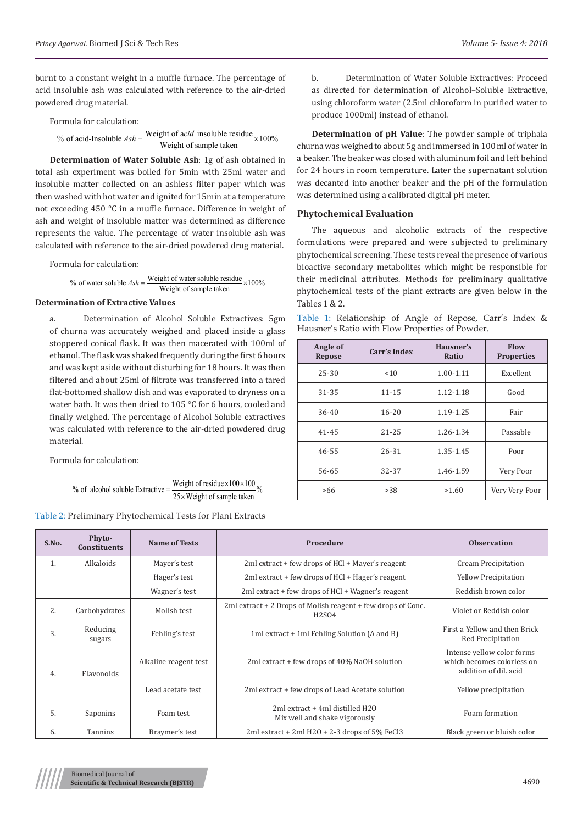burnt to a constant weight in a muffle furnace. The percentage of acid insoluble ash was calculated with reference to the air-dried powdered drug material.

Formula for calculation:

% of acid-Insoluble  $Ash = \frac{\text{Weight of } acid \text{ insoluble residue}}{\text{WEAL of } 2} \times 100\%$ Weight of sample taken

**Determination of Water Soluble Ash**: 1g of ash obtained in total ash experiment was boiled for 5min with 25ml water and insoluble matter collected on an ashless filter paper which was then washed with hot water and ignited for 15min at a temperature not exceeding 450 °C in a muffle furnace. Difference in weight of ash and weight of insoluble matter was determined as difference represents the value. The percentage of water insoluble ash was calculated with reference to the air-dried powdered drug material.

Formula for calculation:

% of water soluble  $Ash = \frac{\text{Weight of water soluble residue}}{\text{EXEC}} \times 100\%$ Weight of sample taken

### **Determination of Extractive Values**

a. Determination of Alcohol Soluble Extractives: 5gm of churna was accurately weighed and placed inside a glass stoppered conical flask. It was then macerated with 100ml of ethanol. The flask was shaked frequently during the first 6 hours and was kept aside without disturbing for 18 hours. It was then filtered and about 25ml of filtrate was transferred into a tared flat-bottomed shallow dish and was evaporated to dryness on a water bath. It was then dried to 105 °C for 6 hours, cooled and finally weighed. The percentage of Alcohol Soluble extractives was calculated with reference to the air-dried powdered drug material.

Formula for calculation:

% of alcohol soluble Extractive = 
$$
\frac{\text{Weight of residue} \times 100 \times 100}{25 \times \text{Weight of sample taken}} \%
$$

|  | Table 2: Preliminary Phytochemical Tests for Plant Extracts |  |
|--|-------------------------------------------------------------|--|
|  |                                                             |  |

b. Determination of Water Soluble Extractives: Proceed as directed for determination of Alcohol–Soluble Extractive, using chloroform water (2.5ml chloroform in purified water to produce 1000ml) instead of ethanol.

**Determination of pH Value**: The powder sample of triphala churna was weighed to about 5g and immersed in 100 ml of water in a beaker. The beaker was closed with aluminum foil and left behind for 24 hours in room temperature. Later the supernatant solution was decanted into another beaker and the pH of the formulation was determined using a calibrated digital pH meter.

#### **Phytochemical Evaluation**

The aqueous and alcoholic extracts of the respective formulations were prepared and were subjected to preliminary phytochemical screening. These tests reveal the presence of various bioactive secondary metabolites which might be responsible for their medicinal attributes. Methods for preliminary qualitative phytochemical tests of the plant extracts are given below in the Tables 1 & 2.

|  | Table 1: Relationship of Angle of Repose, Carr's Index & |  |  |  |  |
|--|----------------------------------------------------------|--|--|--|--|
|  | Hausner's Ratio with Flow Properties of Powder.          |  |  |  |  |

| Angle of<br>Repose | Carr's Index | Hausner's<br>Ratio | <b>Flow</b><br><b>Properties</b> |
|--------------------|--------------|--------------------|----------------------------------|
| 25-30              | < 10         | $1.00 - 1.11$      | Excellent                        |
| 31-35              | $11 - 15$    | 1.12-1.18          | Good                             |
| 36-40              | 16-20        | 1.19-1.25          | Fair                             |
| $41 - 45$          | $21 - 25$    | 1.26-1.34          | Passable                         |
| 46-55              | 26-31        | 1.35-1.45          | Poor                             |
| 56-65              | 32-37        | 1.46-1.59          | Very Poor                        |
| >66                | >38          | >1.60              | Very Very Poor                   |

| S.No.            | <b>Phyto-</b><br><b>Constituents</b> | <b>Name of Tests</b>  | Procedure                                                                    | <b>Observation</b>                                                                |
|------------------|--------------------------------------|-----------------------|------------------------------------------------------------------------------|-----------------------------------------------------------------------------------|
| 1.               | Alkaloids                            | Mayer's test          | 2ml extract + few drops of HCl + Mayer's reagent                             | <b>Cream Precipitation</b>                                                        |
|                  |                                      | Hager's test          | 2ml extract + few drops of HCl + Hager's reagent                             | <b>Yellow Precipitation</b>                                                       |
|                  |                                      | Wagner's test         | 2ml extract + few drops of HCl + Wagner's reagent                            | Reddish brown color                                                               |
| 2.               | Carbohydrates                        | Molish test           | 2ml extract + 2 Drops of Molish reagent + few drops of Conc.<br><b>H2SO4</b> | Violet or Reddish color                                                           |
| 3.               | Reducing<br>sugars                   | Fehling's test        | 1ml extract + 1ml Fehling Solution (A and B)                                 | First a Yellow and then Brick<br>Red Precipitation                                |
| Flavonoids<br>4. |                                      | Alkaline reagent test | 2ml extract + few drops of 40% NaOH solution                                 | Intense yellow color forms<br>which becomes colorless on<br>addition of dil, acid |
|                  |                                      | Lead acetate test     | 2ml extract + few drops of Lead Acetate solution                             | Yellow precipitation                                                              |
| 5.               | Saponins                             | Foam test             | 2ml extract + 4ml distilled H2O<br>Mix well and shake vigorously             | Foam formation                                                                    |
| 6.               | Tannins                              | Braymer's test        | 2ml extract + 2ml $H2O + 2-3$ drops of 5% FeCl3                              | Black green or bluish color                                                       |

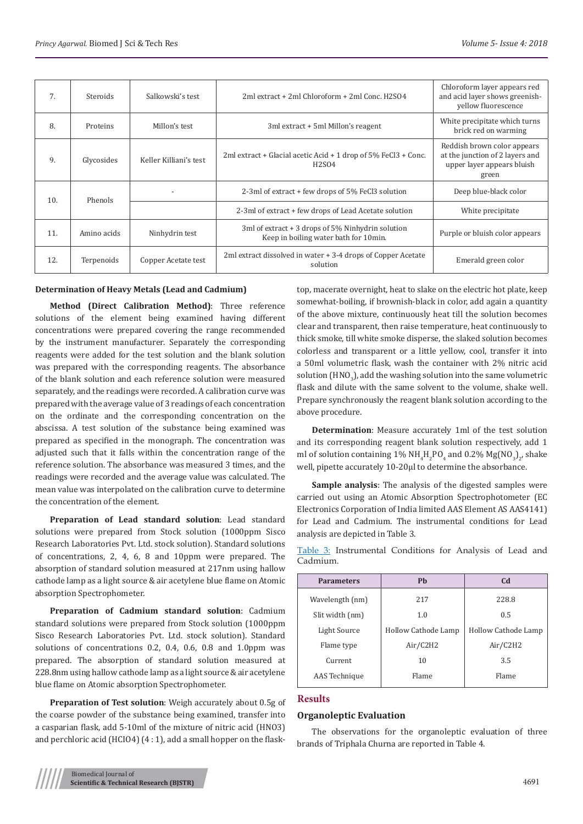| 7.  | <b>Steroids</b> | Salkowski's test       | 2ml extract + 2ml Chloroform + 2ml Conc. H2SO4                                                      | Chloroform layer appears red<br>and acid layer shows greenish-<br>yellow fluorescence                 |
|-----|-----------------|------------------------|-----------------------------------------------------------------------------------------------------|-------------------------------------------------------------------------------------------------------|
| 8.  | Proteins        | Millon's test          | 3ml extract + 5ml Millon's reagent                                                                  | White precipitate which turns<br>brick red on warming                                                 |
| 9.  | Glycosides      | Keller Killiani's test | 2ml extract + Glacial acetic Acid + 1 drop of $5\%$ FeCl3 + Conc.<br>H <sub>2</sub> SO <sub>4</sub> | Reddish brown color appears<br>at the junction of 2 layers and<br>upper layer appears bluish<br>green |
| 10. | Phenols         |                        | 2-3ml of extract + few drops of 5% FeCl3 solution                                                   | Deep blue-black color                                                                                 |
|     |                 |                        | 2-3ml of extract + few drops of Lead Acetate solution                                               | White precipitate                                                                                     |
| 11. | Amino acids     | Ninhydrin test         | 3ml of extract $+$ 3 drops of 5% Ninhydrin solution<br>Keep in boiling water bath for 10min.        | Purple or bluish color appears                                                                        |
| 12. | Terpenoids      | Copper Acetate test    | 2ml extract dissolved in water + 3-4 drops of Copper Acetate<br>solution                            | Emerald green color                                                                                   |

## **Determination of Heavy Metals (Lead and Cadmium)**

**Method (Direct Calibration Method)**: Three reference solutions of the element being examined having different concentrations were prepared covering the range recommended by the instrument manufacturer. Separately the corresponding reagents were added for the test solution and the blank solution was prepared with the corresponding reagents. The absorbance of the blank solution and each reference solution were measured separately, and the readings were recorded. A calibration curve was prepared with the average value of 3 readings of each concentration on the ordinate and the corresponding concentration on the abscissa. A test solution of the substance being examined was prepared as specified in the monograph. The concentration was adjusted such that it falls within the concentration range of the reference solution. The absorbance was measured 3 times, and the readings were recorded and the average value was calculated. The mean value was interpolated on the calibration curve to determine the concentration of the element.

**Preparation of Lead standard solution**: Lead standard solutions were prepared from Stock solution (1000ppm Sisco Research Laboratories Pvt. Ltd. stock solution). Standard solutions of concentrations, 2, 4, 6, 8 and 10ppm were prepared. The absorption of standard solution measured at 217nm using hallow cathode lamp as a light source & air acetylene blue flame on Atomic absorption Spectrophometer.

**Preparation of Cadmium standard solution**: Cadmium standard solutions were prepared from Stock solution (1000ppm Sisco Research Laboratories Pvt. Ltd. stock solution). Standard solutions of concentrations 0.2, 0.4, 0.6, 0.8 and 1.0ppm was prepared. The absorption of standard solution measured at 228.8nm using hallow cathode lamp as a light source & air acetylene blue flame on Atomic absorption Spectrophometer.

**Preparation of Test solution**: Weigh accurately about 0.5g of the coarse powder of the substance being examined, transfer into a casparian flask, add 5-10ml of the mixture of nitric acid (HNO3) and perchloric acid (HCIO4) (4 : 1), add a small hopper on the flasktop, macerate overnight, heat to slake on the electric hot plate, keep somewhat-boiling, if brownish-black in color, add again a quantity of the above mixture, continuously heat till the solution becomes clear and transparent, then raise temperature, heat continuously to thick smoke, till white smoke disperse, the slaked solution becomes colorless and transparent or a little yellow, cool, transfer it into a 50ml volumetric flask, wash the container with 2% nitric acid solution (HNO $_{\rm 3}$ ), add the washing solution into the same volumetric flask and dilute with the same solvent to the volume, shake well. Prepare synchronously the reagent blank solution according to the above procedure.

**Determination**: Measure accurately 1ml of the test solution and its corresponding reagent blank solution respectively, add 1 ml of solution containing  $1\%$  NH<sub>4</sub>H<sub>2</sub>PO<sub>4</sub> and 0.2% Mg(NO<sub>3</sub>)<sub>2</sub>, shake well, pipette accurately 10-20μl to determine the absorbance.

**Sample analysis**: The analysis of the digested samples were carried out using an Atomic Absorption Spectrophotometer (EC Electronics Corporation of India limited AAS Element AS AAS4141) for Lead and Cadmium. The instrumental conditions for Lead analysis are depicted in Table 3.

Table 3: Instrumental Conditions for Analysis of Lead and Cadmium.

| <b>Parameters</b> | <b>Ph</b>           | C <sub>d</sub>      |
|-------------------|---------------------|---------------------|
| Wavelength (nm)   | 217                 | 228.8               |
| Slit width (nm)   | 1.0                 | 0.5                 |
| Light Source      | Hollow Cathode Lamp | Hollow Cathode Lamp |
| Flame type        | Air/C2H2            | Air/C2H2            |
| Current           | 10                  | 3.5                 |
| AAS Technique     | Flame               | Flame               |

## **Results**

## **Organoleptic Evaluation**

The observations for the organoleptic evaluation of three brands of Triphala Churna are reported in Table 4.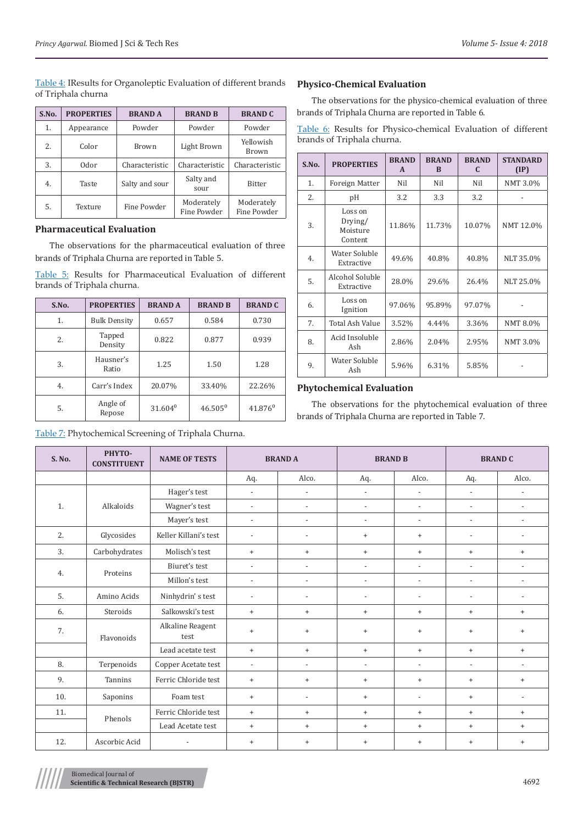Table 4: IResults for Organoleptic Evaluation of different brands of Triphala churna

| S.No. | <b>PROPERTIES</b> | <b>BRANDA</b>  | <b>BRAND B</b>            | <b>BRAND C</b>            |
|-------|-------------------|----------------|---------------------------|---------------------------|
| 1.    | Appearance        | Powder         | Powder                    | Powder                    |
| 2.    | Color             | <b>Brown</b>   | Light Brown               | Yellowish<br>Brown        |
| 3.    | 0dor              | Characteristic | Characteristic            | Characteristic            |
| 4.    | Taste             | Salty and sour | Salty and<br>sour         | <b>Bitter</b>             |
| 5.    | Texture           | Fine Powder    | Moderately<br>Fine Powder | Moderately<br>Fine Powder |

# **Pharmaceutical Evaluation**

The observations for the pharmaceutical evaluation of three brands of Triphala Churna are reported in Table 5.

Table 5: Results for Pharmaceutical Evaluation of different brands of Triphala churna.

| S.No. | <b>PROPERTIES</b>   | <b>BRANDA</b> | <b>BRAND B</b> | <b>BRAND C</b> |
|-------|---------------------|---------------|----------------|----------------|
| 1.    | <b>Bulk Density</b> | 0.657         | 0.584          | 0.730          |
| 2.    | Tapped<br>Density   | 0.822         | 0.877          | 0.939          |
| 3.    | Hausner's<br>Ratio  | 1.25          | 1.50           | 1.28           |
| 4.    | Carr's Index        | 20.07%        | 33.40%         | 22.26%         |
| 5.    | Angle of<br>Repose  | $31.604^0$    | $46.505^{0}$   | $41.876^{0}$   |

Table 7: Phytochemical Screening of Triphala Churna.

## **Physico-Chemical Evaluation**

The observations for the physico-chemical evaluation of three brands of Triphala Churna are reported in Table 6.

Table 6: Results for Physico-chemical Evaluation of different brands of Triphala churna.

| S.NO. | <b>PROPERTIES</b>                         | <b>BRAND</b><br>A | <b>BRAND</b><br><sub>R</sub> | <b>BRAND</b><br>C | <b>STANDARD</b><br>$(\text{IP})$ |
|-------|-------------------------------------------|-------------------|------------------------------|-------------------|----------------------------------|
| 1.    | <b>Foreign Matter</b>                     | Nil               | Nil                          | Nil               | NMT 3.0%                         |
| 2.    | рH                                        | 3.2               | 3.3                          | 3.2               |                                  |
| 3.    | Loss on<br>Drying/<br>Moisture<br>Content | 11.86%            | 11.73%                       | 10.07%            | NMT 12.0%                        |
| 4.    | Water Soluble<br>Extractive               | 49.6%             | 40.8%                        | 40.8%             | NLT 35.0%                        |
| 5.    | Alcohol Soluble<br>Extractive             | 28.0%             | 29.6%                        | 26.4%             | NLT 25.0%                        |
| 6.    | Loss on<br>Ignition                       | 97.06%            | 95.89%                       | 97.07%            |                                  |
| 7.    | <b>Total Ash Value</b>                    | 3.52%             | 4.44%                        | 3.36%             | NMT 8.0%                         |
| 8.    | Acid Insoluble<br>Ash                     | 2.86%             | 2.04%                        | 2.95%             | NMT 3.0%                         |
| 9.    | Water Soluble<br>Ash                      | 5.96%             | 6.31%                        | 5.85%             |                                  |

# **Phytochemical Evaluation**

The observations for the phytochemical evaluation of three brands of Triphala Churna are reported in Table 7.

| S. No. | РНҮТО-<br><b>CONSTITUENT</b> | <b>NAME OF TESTS</b>     | <b>BRANDA</b>            |                          | <b>BRAND B</b>           |                          | <b>BRAND C</b>                   |                          |
|--------|------------------------------|--------------------------|--------------------------|--------------------------|--------------------------|--------------------------|----------------------------------|--------------------------|
|        |                              |                          | Aq.                      | Alco.                    | Aq.                      | Alco.                    | Aq.                              | Alco.                    |
|        |                              | Hager's test             | $\overline{\phantom{a}}$ | $\overline{a}$           | $\overline{\phantom{a}}$ | $\overline{\phantom{a}}$ | $\overline{\phantom{a}}$         | $\overline{\phantom{a}}$ |
| 1.     | Alkaloids                    | Wagner's test            | $\blacksquare$           | $\overline{a}$           | $\overline{\phantom{a}}$ | $\blacksquare$           | $\overline{a}$                   | $\overline{\phantom{a}}$ |
|        |                              | Mayer's test             | $\overline{\phantom{a}}$ | $\overline{a}$           | $\overline{\phantom{a}}$ | $\overline{\phantom{a}}$ | $\overline{\phantom{a}}$         | $\overline{\phantom{a}}$ |
| 2.     | Glycosides                   | Keller Killani's test    | $\overline{\phantom{0}}$ | $\overline{a}$           | $^{+}$                   | $+$                      | $\overline{a}$                   | $\overline{\phantom{a}}$ |
| 3.     | Carbohydrates                | Molisch's test           | $^{+}$                   | $^{+}$                   | $+$                      | $+$                      | $^{+}$                           | $\qquad \qquad +$        |
| 4.     | Proteins                     | Biuret's test            | $\blacksquare$           | $\overline{\phantom{a}}$ | $\overline{\phantom{a}}$ | $\blacksquare$           | $\blacksquare$                   | $\blacksquare$           |
|        |                              | Millon's test            | $\overline{\phantom{a}}$ | $\overline{\phantom{a}}$ | $\overline{\phantom{a}}$ | $\overline{\phantom{a}}$ | $\overline{\phantom{a}}$         | $\overline{\phantom{a}}$ |
| 5.     | Amino Acids                  | Ninhydrin's test         | $\overline{a}$           |                          | $\overline{\phantom{a}}$ | $\overline{\phantom{a}}$ | $\overline{a}$                   | $\overline{\phantom{a}}$ |
| 6.     | Steroids                     | Salkowski's test         | $+$                      | $^{+}$                   | $\ddot{}$                | $+$                      | $^{+}$                           | $\ddot{}$                |
| 7.     | Flavonoids                   | Alkaline Reagent<br>test | $^{+}$                   | $^{+}$                   | $\ddot{}$                | $+$                      | $+$                              | $\ddot{}$                |
|        |                              | Lead acetate test        | $\ddot{}$                | $+$                      | $+$                      | $+$                      | $\begin{array}{c} + \end{array}$ | $+$                      |
| 8.     | Terpenoids                   | Copper Acetate test      | $\overline{\phantom{a}}$ | $\overline{\phantom{a}}$ | $\overline{\phantom{a}}$ | $\overline{\phantom{a}}$ | $\overline{\phantom{a}}$         | $\blacksquare$           |
| 9.     | Tannins                      | Ferric Chloride test     | $\qquad \qquad +$        | $\ddot{}$                | $^{+}$                   | $\ddot{}$                | $\begin{array}{c} + \end{array}$ | $^{+}$                   |
| 10.    | Saponins                     | Foam test                | $+$                      | $\overline{\phantom{a}}$ | $+$                      | $\overline{\phantom{a}}$ | $^{+}$                           | $\overline{\phantom{a}}$ |
| 11.    | Phenols                      | Ferric Chloride test     | $+$                      | $^{+}$                   | $^{+}$                   | $+$                      | $^{+}$                           | $^{+}$                   |
|        |                              | Lead Acetate test        | $+$                      | $^{+}$                   | $^{+}$                   | $+$                      | $^{+}$                           | $^{+}$                   |
| 12.    | Ascorbic Acid                | $\overline{\phantom{a}}$ | $\ddot{}$                | $^{+}$                   | $\ddot{}$                | $+$                      | $+$                              | $\ddot{}$                |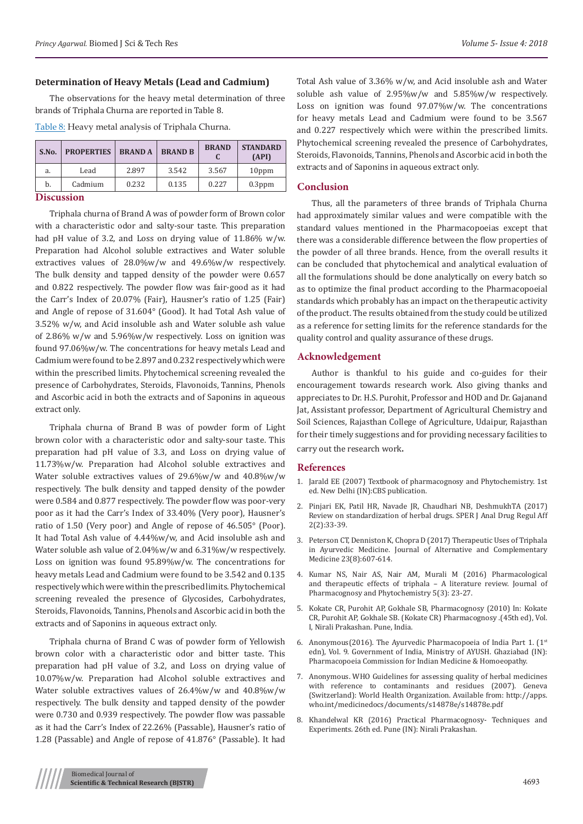#### **Determination of Heavy Metals (Lead and Cadmium)**

The observations for the heavy metal determination of three brands of Triphala Churna are reported in Table 8.

Table 8: Heavy metal analysis of Triphala Churna.

| S.No. | <b>PROPERTIES</b> | <b>BRANDA</b> | <b>BRAND B</b> | <b>BRAND</b> | <b>STANDARD</b><br>(API) |
|-------|-------------------|---------------|----------------|--------------|--------------------------|
| a.    | Lead              | 2.897         | 3.542          | 3.567        | 10 <sub>ppm</sub>        |
| b.    | Cadmium           | 0.232         | 0.135          | 0.227        | $0.3$ ppm                |

## **Discussion**

Triphala churna of Brand A was of powder form of Brown color with a characteristic odor and salty-sour taste. This preparation had pH value of 3.2, and Loss on drying value of 11.86% w/w. Preparation had Alcohol soluble extractives and Water soluble extractives values of 28.0%w/w and 49.6%w/w respectively. The bulk density and tapped density of the powder were 0.657 and 0.822 respectively. The powder flow was fair-good as it had the Carr's Index of 20.07% (Fair), Hausner's ratio of 1.25 (Fair) and Angle of repose of 31.604° (Good). It had Total Ash value of 3.52% w/w, and Acid insoluble ash and Water soluble ash value of 2.86% w/w and 5.96%w/w respectively. Loss on ignition was found 97.06%w/w. The concentrations for heavy metals Lead and Cadmium were found to be 2.897 and 0.232 respectively which were within the prescribed limits. Phytochemical screening revealed the presence of Carbohydrates, Steroids, Flavonoids, Tannins, Phenols and Ascorbic acid in both the extracts and of Saponins in aqueous extract only.

Triphala churna of Brand B was of powder form of Light brown color with a characteristic odor and salty-sour taste. This preparation had pH value of 3.3, and Loss on drying value of 11.73%w/w. Preparation had Alcohol soluble extractives and Water soluble extractives values of 29.6%w/w and 40.8%w/w respectively. The bulk density and tapped density of the powder were 0.584 and 0.877 respectively. The powder flow was poor-very poor as it had the Carr's Index of 33.40% (Very poor), Hausner's ratio of 1.50 (Very poor) and Angle of repose of 46.505° (Poor). It had Total Ash value of 4.44%w/w, and Acid insoluble ash and Water soluble ash value of 2.04%w/w and 6.31%w/w respectively. Loss on ignition was found 95.89%w/w. The concentrations for heavy metals Lead and Cadmium were found to be 3.542 and 0.135 respectively which were within the prescribed limits. Phytochemical screening revealed the presence of Glycosides, Carbohydrates, Steroids, Flavonoids, Tannins, Phenols and Ascorbic acid in both the extracts and of Saponins in aqueous extract only.

Triphala churna of Brand C was of powder form of Yellowish brown color with a characteristic odor and bitter taste. This preparation had pH value of 3.2, and Loss on drying value of 10.07%w/w. Preparation had Alcohol soluble extractives and Water soluble extractives values of 26.4%w/w and 40.8%w/w respectively. The bulk density and tapped density of the powder were 0.730 and 0.939 respectively. The powder flow was passable as it had the Carr's Index of 22.26% (Passable), Hausner's ratio of 1.28 (Passable) and Angle of repose of 41.876° (Passable). It had

Total Ash value of 3.36% w/w, and Acid insoluble ash and Water soluble ash value of 2.95%w/w and 5.85%w/w respectively. Loss on ignition was found 97.07%w/w. The concentrations for heavy metals Lead and Cadmium were found to be 3.567 and 0.227 respectively which were within the prescribed limits. Phytochemical screening revealed the presence of Carbohydrates, Steroids, Flavonoids, Tannins, Phenols and Ascorbic acid in both the extracts and of Saponins in aqueous extract only.

## **Conclusion**

Thus, all the parameters of three brands of Triphala Churna had approximately similar values and were compatible with the standard values mentioned in the Pharmacopoeias except that there was a considerable difference between the flow properties of the powder of all three brands. Hence, from the overall results it can be concluded that phytochemical and analytical evaluation of all the formulations should be done analytically on every batch so as to optimize the final product according to the Pharmacopoeial standards which probably has an impact on the therapeutic activity of the product. The results obtained from the study could be utilized as a reference for setting limits for the reference standards for the quality control and quality assurance of these drugs.

#### **Acknowledgement**

Author is thankful to his guide and co-guides for their encouragement towards research work. Also giving thanks and appreciates to Dr. H.S. Purohit, Professor and HOD and Dr. Gajanand Jat, Assistant professor, Department of Agricultural Chemistry and Soil Sciences, Rajasthan College of Agriculture, Udaipur, Rajasthan for their timely suggestions and for providing necessary facilities to carry out the research work**.**

### **References**

- 1. Jarald EE (2007) Textbook of pharmacognosy and Phytochemistry. 1st ed. New Delhi (IN):CBS publication.
- 2. Pinjari EK, Patil HR, Navade JR, Chaudhari NB, DeshmukhTA (2017) Review on standardization of herbal drugs. SPER J Anal Drug Regul Aff 2(2):33-39.
- 3. [Peterson CT, Denniston K, Chopra D \(2017\) Therapeutic Uses of Triphala](https://www.ncbi.nlm.nih.gov/pmc/articles/PMC5567597/) [in Ayurvedic Medicine. Journal of Alternative and Complementary](https://www.ncbi.nlm.nih.gov/pmc/articles/PMC5567597/) [Medicine 23\(8\):607-614.](https://www.ncbi.nlm.nih.gov/pmc/articles/PMC5567597/)
- 4. [Kumar NS, Nair AS, Nair AM, Murali M \(2016\) Pharmacological](http://www.phytojournal.com/archives/?year=2016&vol=5&issue=3&part=A&ArticleId=852) [and therapeutic effects of triphala – A literature review. Journal of](http://www.phytojournal.com/archives/?year=2016&vol=5&issue=3&part=A&ArticleId=852) [Pharmacognosy and Phytochemistry 5\(3\): 23-27.](http://www.phytojournal.com/archives/?year=2016&vol=5&issue=3&part=A&ArticleId=852)
- 5. Kokate CR, Purohit AP, Gokhale SB, Pharmacognosy (2010) In: Kokate CR, Purohit AP, Gokhale SB. (Kokate CR) Pharmacognosy .(45th ed), Vol. I, Nirali Prakashan. Pune, India.
- 6. Anonymous(2016). The Ayurvedic Pharmacopoeia of India Part 1.  $(1^{st}$ edn), Vol. 9. Government of India, Ministry of AYUSH. Ghaziabad (IN): Pharmacopoeia Commission for Indian Medicine & Homoeopathy.
- 7. Anonymous. WHO Guidelines for assessing quality of herbal medicines with reference to contaminants and residues (2007). Geneva (Switzerland): World Health Organization. Available from: http://apps. who.int/medicinedocs/documents/s14878e/s14878e.pdf
- 8. Khandelwal KR (2016) Practical Pharmacognosy- Techniques and Experiments. 26th ed. Pune (IN): Nirali Prakashan.